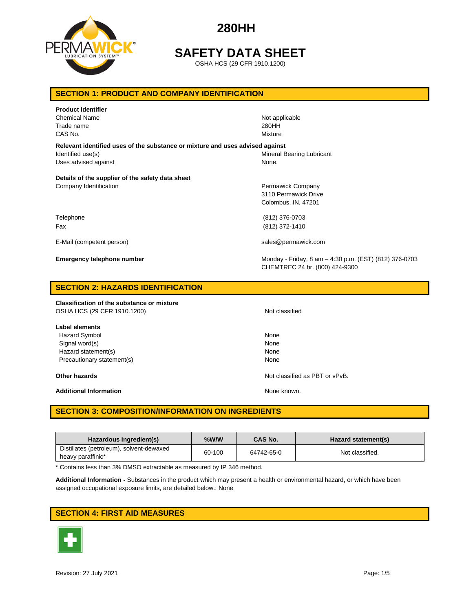

## **SAFETY DATA SHEET**

OSHA HCS (29 CFR 1910.1200)

## **SECTION 1: PRODUCT AND COMPANY IDENTIFICATION**

| <b>Product identifier</b><br><b>Chemical Name</b><br>Trade name<br>CAS No.                                                 | Not applicable<br>280HH<br>Mixture                                                       |
|----------------------------------------------------------------------------------------------------------------------------|------------------------------------------------------------------------------------------|
| Relevant identified uses of the substance or mixture and uses advised against<br>Identified use(s)<br>Uses advised against | Mineral Bearing Lubricant<br>None.                                                       |
| Details of the supplier of the safety data sheet                                                                           |                                                                                          |
| Company Identification                                                                                                     | Permawick Company<br>3110 Permawick Drive<br>Colombus, IN, 47201                         |
| Telephone                                                                                                                  | (812) 376-0703                                                                           |
| Fax                                                                                                                        | (812) 372-1410                                                                           |
| E-Mail (competent person)                                                                                                  | sales@permawick.com                                                                      |
| <b>Emergency telephone number</b>                                                                                          | Monday - Friday, 8 am - 4:30 p.m. (EST) (812) 376-0703<br>CHEMTREC 24 hr. (800) 424-9300 |

### **SECTION 2: HAZARDS IDENTIFICATION**

**Classification of the substance or mixture** OSHA HCS (29 CFR 1910.1200) Not classified

**Label elements** Hazard Symbol None Signal word(s) None Hazard statement(s) None

Additional Information **None known.** None known.

Precautionary statement(s) None

**Other hazards Other hazards Notice as PBT or vPvB. Notice as PBT or vPvB.** 

## **SECTION 3: COMPOSITION/INFORMATION ON INGREDIENTS**

| Hazardous ingredient(s)                  | %W/W   | <b>CAS No.</b> | Hazard statement(s) |
|------------------------------------------|--------|----------------|---------------------|
| Distillates (petroleum), solvent-dewaxed | 60-100 | 64742-65-0     | Not classified.     |
| heavy paraffinic*                        |        |                |                     |

\* Contains less than 3% DMSO extractable as measured by IP 346 method.

**Additional Information -** Substances in the product which may present a health or environmental hazard, or which have been assigned occupational exposure limits, are detailed below.: None

## **SECTION 4: FIRST AID MEASURES**

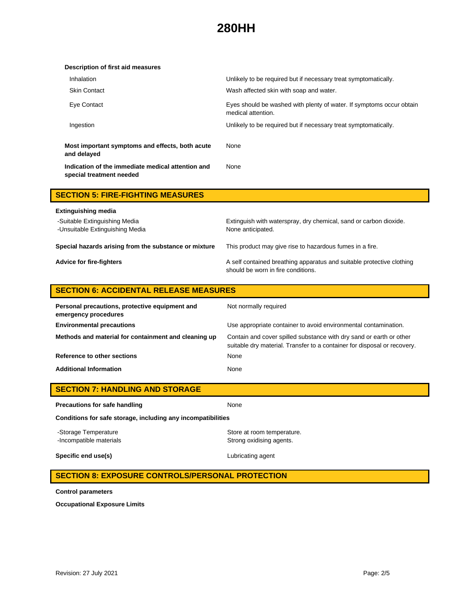| Unlikely to be required but if necessary treat symptomatically.                            |
|--------------------------------------------------------------------------------------------|
| Wash affected skin with soap and water.                                                    |
| Eyes should be washed with plenty of water. If symptoms occur obtain<br>medical attention. |
| Unlikely to be required but if necessary treat symptomatically.                            |
| None                                                                                       |
| None                                                                                       |
|                                                                                            |

| <b>SECTION 5: FIRE-FIGHTING MEASURES</b>                         |                                                                                                             |
|------------------------------------------------------------------|-------------------------------------------------------------------------------------------------------------|
| <b>Extinguishing media</b>                                       |                                                                                                             |
| -Suitable Extinguishing Media<br>-Unsuitable Extinguishing Media | Extinguish with waterspray, dry chemical, sand or carbon dioxide.<br>None anticipated.                      |
| Special hazards arising from the substance or mixture            | This product may give rise to hazardous fumes in a fire.                                                    |
| <b>Advice for fire-fighters</b>                                  | A self contained breathing apparatus and suitable protective clothing<br>should be worn in fire conditions. |

## **SECTION 6: ACCIDENTAL RELEASE MEASURES**

| Personal precautions, protective equipment and<br>emergency procedures | Not normally required                                                                                                                           |
|------------------------------------------------------------------------|-------------------------------------------------------------------------------------------------------------------------------------------------|
| <b>Environmental precautions</b>                                       | Use appropriate container to avoid environmental contamination.                                                                                 |
| Methods and material for containment and cleaning up                   | Contain and cover spilled substance with dry sand or earth or other<br>suitable dry material. Transfer to a container for disposal or recovery. |
| Reference to other sections                                            | None                                                                                                                                            |
| <b>Additional Information</b>                                          | None                                                                                                                                            |

|  |  | <b>SECTION 7: HANDLING AND STORAGE</b> |
|--|--|----------------------------------------|
|--|--|----------------------------------------|

| Precautions for safe handling                                | None                                                   |  |
|--------------------------------------------------------------|--------------------------------------------------------|--|
| Conditions for safe storage, including any incompatibilities |                                                        |  |
| -Storage Temperature<br>-Incompatible materials              | Store at room temperature.<br>Strong oxidising agents. |  |
| Specific end use(s)                                          | Lubricating agent                                      |  |

## **SECTION 8: EXPOSURE CONTROLS/PERSONAL PROTECTION**

**Control parameters**

**Occupational Exposure Limits**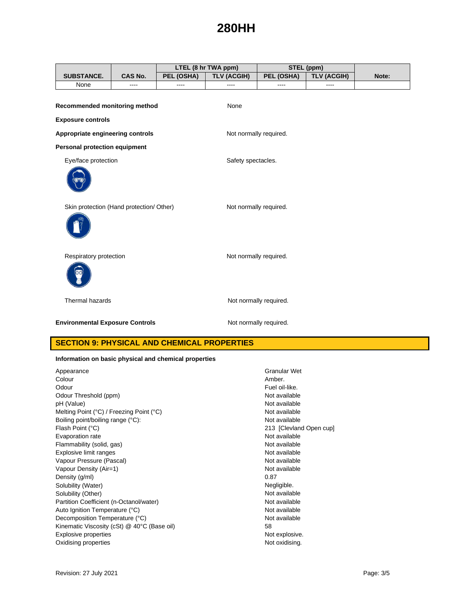|                                          |                |            | LTEL (8 hr TWA ppm)    |                        | STEL (ppm)         |       |
|------------------------------------------|----------------|------------|------------------------|------------------------|--------------------|-------|
| <b>SUBSTANCE.</b>                        | <b>CAS No.</b> | PEL (OSHA) | <b>TLV (ACGIH)</b>     | PEL (OSHA)             | <b>TLV (ACGIH)</b> | Note: |
| None                                     | $---$          | $---$      | $\frac{1}{2}$          | ----                   | ----               |       |
| Recommended monitoring method            |                |            | None                   |                        |                    |       |
| <b>Exposure controls</b>                 |                |            |                        |                        |                    |       |
| Appropriate engineering controls         |                |            | Not normally required. |                        |                    |       |
| Personal protection equipment            |                |            |                        |                        |                    |       |
| Eye/face protection                      |                |            | Safety spectacles.     |                        |                    |       |
|                                          |                |            |                        |                        |                    |       |
| Skin protection (Hand protection/ Other) |                |            | Not normally required. |                        |                    |       |
| Respiratory protection                   |                |            | Not normally required. |                        |                    |       |
| Thermal hazards                          |                |            |                        | Not normally required. |                    |       |
| <b>Environmental Exposure Controls</b>   |                |            |                        | Not normally required. |                    |       |

## **SECTION 9: PHYSICAL AND CHEMICAL PROPERTIES**

### **Information on basic physical and chemical properties**

| Appearance                                       | Granula  |
|--------------------------------------------------|----------|
| Colour                                           | Amber.   |
| Odour                                            | Fuel oil |
| Odour Threshold (ppm)                            | Not ava  |
| pH (Value)                                       | Not ava  |
| Melting Point (°C) / Freezing Point (°C)         | Not ava  |
| Boiling point/boiling range (°C):                | Not ava  |
| Flash Point (°C)                                 | 213 IC   |
| Evaporation rate                                 | Not ava  |
| Flammability (solid, gas)                        | Not ava  |
| Explosive limit ranges                           | Not ava  |
| Vapour Pressure (Pascal)                         | Not ava  |
| Vapour Density (Air=1)                           | Not ava  |
| Density (g/ml)                                   | 0.87     |
| Solubility (Water)                               | Negligil |
| Solubility (Other)                               | Not ava  |
| Partition Coefficient (n-Octanol/water)          | Not ava  |
| Auto Ignition Temperature (°C)                   | Not ava  |
| Decomposition Temperature (°C)                   | Not ava  |
| Kinematic Viscosity (cSt) $@$ 40 $°C$ (Base oil) | 58       |
| <b>Explosive properties</b>                      | Not exp  |
| Oxidising properties                             | Not oxi  |

Granular Wet<br>Amber. Fuel oil-like. Not available Not available Not available Not available 213 [Clevland Open cup] Not available Not available Not available Not available Not available Negligible. Not available Not available Not available Not available<br>58 Not explosive. Not oxidising.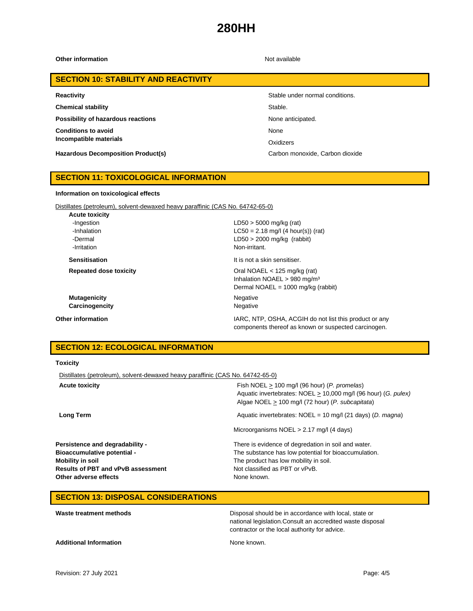**Other information** Not available

### **SECTION 10: STABILITY AND REACTIVITY**

**Chemical stability** Stable.

**Possibility of hazardous reactions None anticipated.** None anticipated.

**Conditions to avoid Incompatible materials**

**Hazardous Decomposition Product(s)** Carbon monoxide, Carbon dioxide

#### **Reactivity Reactivity Reactivity Stable under normal conditions.**

None

**Oxidizers** 

components thereof as known or suspected carcinogen.

## **SECTION 11: TOXICOLOGICAL INFORMATION**

#### **Information on toxicological effects**

Distillates (petroleum), solvent-dewaxed heavy paraffinic (CAS No. 64742-65-0)

| <b>Acute toxicity</b>         |                                                                                                                            |
|-------------------------------|----------------------------------------------------------------------------------------------------------------------------|
| -Ingestion                    | $LD50 > 5000$ mg/kg (rat)                                                                                                  |
| -Inhalation                   | $LC50 = 2.18$ mg/l (4 hour(s)) (rat)                                                                                       |
| -Dermal                       | $LD50 > 2000$ mg/kg (rabbit)                                                                                               |
| -Irritation                   | Non-irritant.                                                                                                              |
| <b>Sensitisation</b>          | It is not a skin sensitiser.                                                                                               |
| <b>Repeated dose toxicity</b> | Oral NOAEL $<$ 125 mg/kg (rat)<br>Inhalation NOAEL > 980 mg/m <sup>3</sup><br>Dermal NOAEL = $1000 \text{ mg/kg}$ (rabbit) |
| <b>Mutagenicity</b>           | Negative                                                                                                                   |
| Carcinogencity                | Negative                                                                                                                   |
| Other information             | IARC, NTP, OSHA, ACGIH do not list this product or any                                                                     |

## **SECTION 12: ECOLOGICAL INFORMATION**

#### **Toxicity**

Distillates (petroleum), solvent-dewaxed heavy paraffinic (CAS No. 64742-65-0)

| <b>Acute toxicity</b>                     | Fish NOEL $> 100$ mg/l (96 hour) (P. promelas)<br>Aquatic invertebrates: NOEL > 10,000 mg/l (96 hour) (G. pulex)<br>Algae NOEL > 100 mg/l (72 hour) (P. subcapitata) |
|-------------------------------------------|----------------------------------------------------------------------------------------------------------------------------------------------------------------------|
| Long Term                                 | Aquatic invertebrates: $NOEL = 10$ mg/l (21 days) (D. magna)                                                                                                         |
|                                           | Microorganisms $NOEL > 2.17$ mg/l (4 days)                                                                                                                           |
| Persistence and degradability -           | There is evidence of degredation in soil and water.                                                                                                                  |
| <b>Bioaccumulative potential -</b>        | The substance has low potential for bioaccumulation.                                                                                                                 |
| Mobility in soil                          | The product has low mobility in soil.                                                                                                                                |
| <b>Results of PBT and vPvB assessment</b> | Not classified as PBT or vPvB.                                                                                                                                       |
| Other adverse effects                     | None known.                                                                                                                                                          |

## **SECTION 13: DISPOSAL CONSIDERATIONS**

| Waste treatment methods       | Disposal should be in accordance with local, state or<br>national legislation. Consult an accredited waste disposal<br>contractor or the local authority for advice. |
|-------------------------------|----------------------------------------------------------------------------------------------------------------------------------------------------------------------|
| <b>Additional Information</b> | None known.                                                                                                                                                          |